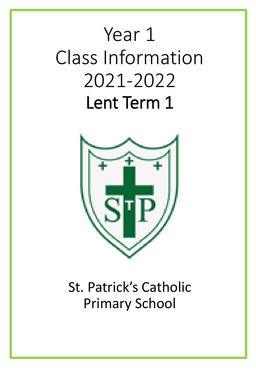# Year 1 Class Information 2021-2022 Lent Term 1



# St. Patrick's Catholic Primary School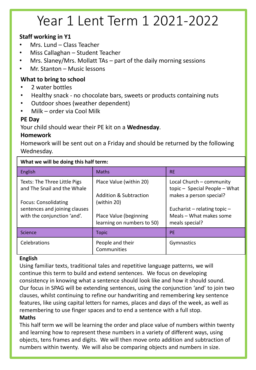# Year 1 Lent Term 1 2021-2022

### **Staff working in Y1**

- Mrs. Lund Class Teacher
- Miss Callaghan Student Teacher
- Mrs. Slaney/Mrs. Mollatt TAs  $-$  part of the daily morning sessions
- Mr. Stanton Music lessons

#### **What to bring to school**

- 2 water bottles
- Healthy snack no chocolate bars, sweets or products containing nuts
- Outdoor shoes (weather dependent)
- Milk order via Cool Milk

#### **PE Day**

Your child should wear their PE kit on a **Wednesday**.

#### **Homework**

Homework will be sent out on a Friday and should be returned by the following Wednesday.

| What we will be doing this half term:                                                                                       |                                                                             |                                                                                                                      |  |  |  |  |  |
|-----------------------------------------------------------------------------------------------------------------------------|-----------------------------------------------------------------------------|----------------------------------------------------------------------------------------------------------------------|--|--|--|--|--|
| English                                                                                                                     | <b>Maths</b>                                                                | <b>RE</b>                                                                                                            |  |  |  |  |  |
| Texts: The Three Little Pigs<br>and The Snail and the Whale<br><b>Focus: Consolidating</b><br>sentences and joining clauses | Place Value (within 20)<br><b>Addition &amp; Subtraction</b><br>(within 20) | Local Church - community<br>topic - Special People - What<br>makes a person special?<br>Eucharist – relating topic – |  |  |  |  |  |
| with the conjunction 'and'.                                                                                                 | Place Value (beginning<br>learning on numbers to 50)                        | Meals - What makes some<br>meals special?                                                                            |  |  |  |  |  |
| Science                                                                                                                     | <b>Topic</b>                                                                | <b>PE</b>                                                                                                            |  |  |  |  |  |
| Celebrations                                                                                                                | People and their<br>Communities                                             | Gymnastics                                                                                                           |  |  |  |  |  |

#### **English**

Using familiar texts, traditional tales and repetitive language patterns, we will continue this term to build and extend sentences. We focus on developing consistency in knowing what a sentence should look like and how it should sound. Our focus in SPAG will be extending sentences, using the conjunction 'and' to join two clauses, whilst continuing to refine our handwriting and remembering key sentence features, like using capital letters for names, places and days of the week, as well as remembering to use finger spaces and to end a sentence with a full stop. **Maths**

This half term we will be learning the order and place value of numbers within twenty and learning how to represent these numbers in a variety of different ways, using objects, tens frames and digits. We will then move onto addition and subtraction of numbers within twenty. We will also be comparing objects and numbers in size.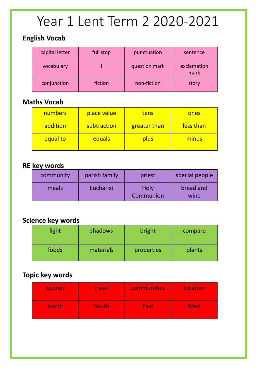# Year 1 Lent Term 2 2020-2021

## **English Vocab**

| capital letter | full stop | punctuation   | sentence            |
|----------------|-----------|---------------|---------------------|
| vocabulary     |           | question mark | exclamation<br>mark |
| conjunction    | fiction   | non-fiction   | story               |

### **Maths Vocab**

| numbers  | place value | tens                | ones      |
|----------|-------------|---------------------|-----------|
| addition | subtraction | <b>greater than</b> | less than |
| equal to | equals      | plus                | minus     |

### **RE key words**

| community | parish family | priest            | special people    |
|-----------|---------------|-------------------|-------------------|
| meals     | Eucharist     | Holy<br>Communion | bread and<br>wine |

# **Science key words**

| light | shadows   | bright     | compare |
|-------|-----------|------------|---------|
| foods | materials | properties | plants  |

# **Topic key words**

| journey      | travel | communities | <b>location</b> |
|--------------|--------|-------------|-----------------|
| <b>North</b> | South  | <b>East</b> | <b>West</b>     |